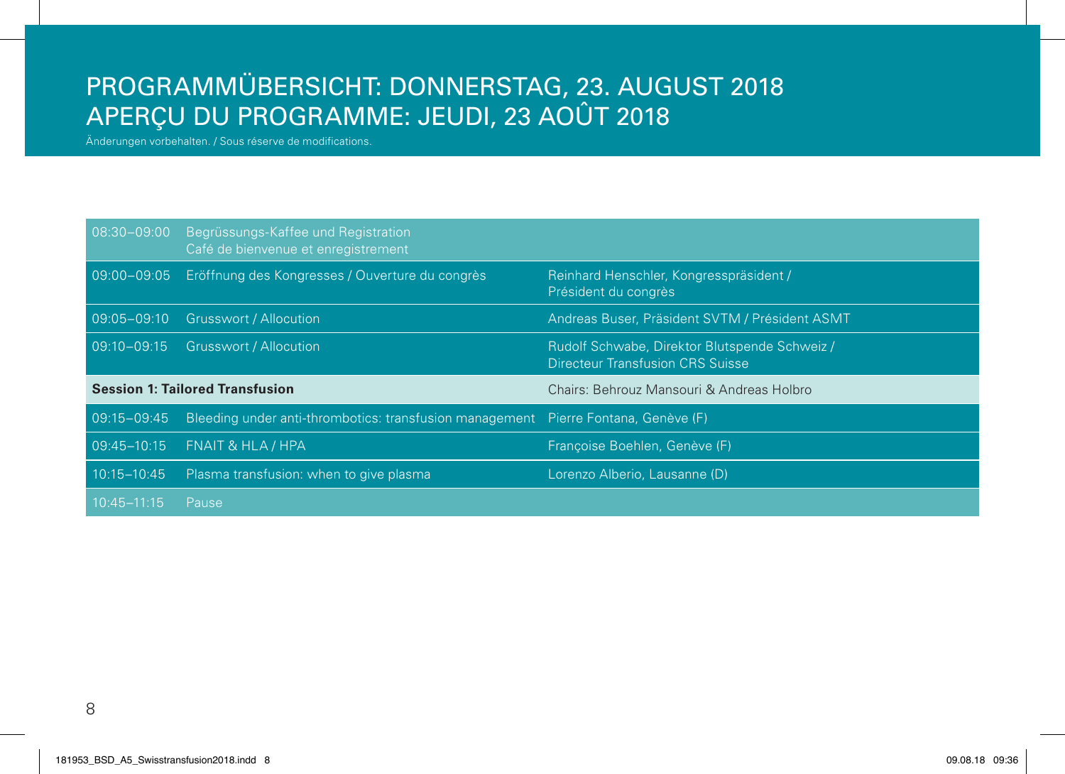## PROGRAMMÜBERSICHT: DONNERSTAG, 23. AUGUST 2018 APERÇU DU PROGRAMME: JEUDI, 23 AOÛT 2018

Änderungen vorbehalten. / Sous réserve de modifications.

| $08:30 - 09:00$                        | Begrüssungs-Kaffee und Registration<br>Café de bienvenue et enregistrement         |                                                                                          |
|----------------------------------------|------------------------------------------------------------------------------------|------------------------------------------------------------------------------------------|
| $09:00 - 09:05$                        | Eröffnung des Kongresses / Ouverture du congrès                                    | Reinhard Henschler, Kongresspräsident /<br>Président du congrès                          |
|                                        | 09:05-09:10 Grusswort / Allocution                                                 | Andreas Buser, Präsident SVTM / Président ASMT                                           |
| $09:10 - 09:15$                        | <b>Grusswort / Allocution</b>                                                      | Rudolf Schwabe, Direktor Blutspende Schweiz /<br><b>Directeur Transfusion CRS Suisse</b> |
| <b>Session 1: Tailored Transfusion</b> |                                                                                    |                                                                                          |
|                                        |                                                                                    | Chairs: Behrouz Mansouri & Andreas Holbro                                                |
| $09:15 - 09:45$                        | Bleeding under anti-thrombotics: transfusion management Pierre Fontana, Genève (F) |                                                                                          |
| 09:45-10:15                            | FNAIT & HLA / HPA                                                                  | Francoise Boehlen, Genève (F)                                                            |
| $10:15 - 10:45$                        | Plasma transfusion: when to give plasma                                            | Lorenzo Alberio, Lausanne (D)                                                            |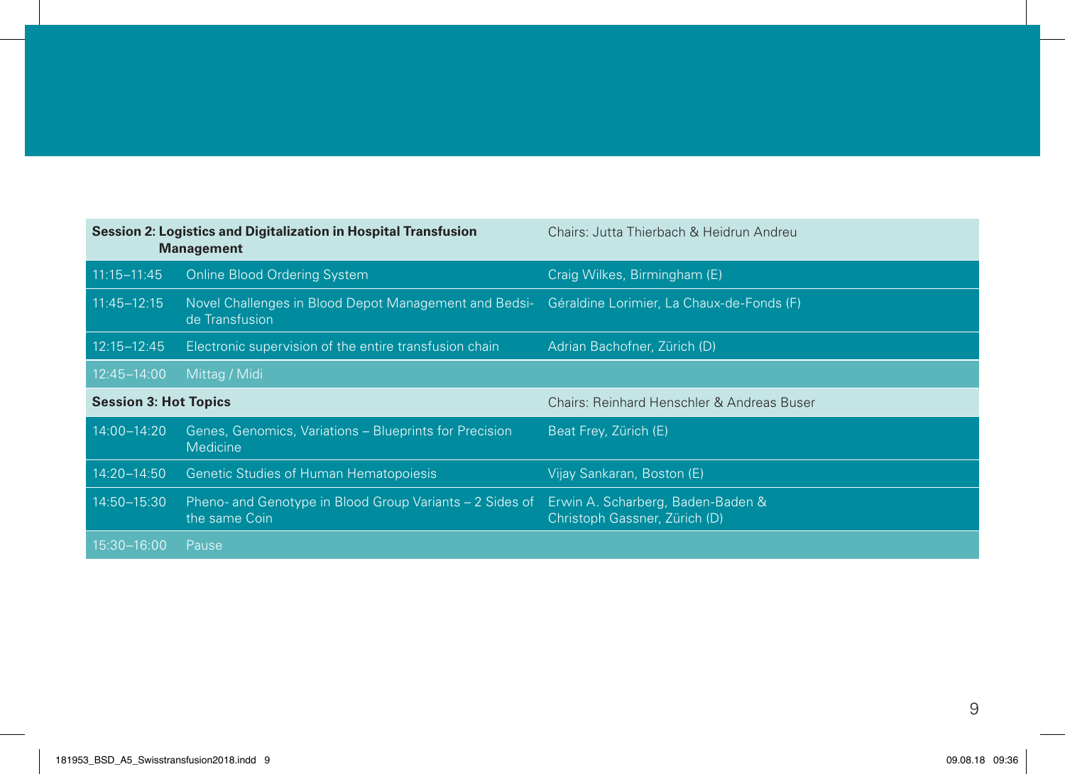| Session 2: Logistics and Digitalization in Hospital Transfusion<br><b>Management</b> |                                                                           | Chairs: Jutta Thierbach & Heidrun Andreu                           |  |
|--------------------------------------------------------------------------------------|---------------------------------------------------------------------------|--------------------------------------------------------------------|--|
| $11:15 - 11:45$                                                                      | <b>Online Blood Ordering System</b>                                       | Craig Wilkes, Birmingham (E)                                       |  |
| $11:45 - 12:15$                                                                      | Novel Challenges in Blood Depot Management and Bedsi-<br>de Transfusion   | Géraldine Lorimier, La Chaux-de-Fonds (F)                          |  |
| $12:15 - 12:45$                                                                      | Electronic supervision of the entire transfusion chain                    | Adrian Bachofner, Zürich (D)                                       |  |
| 12:45-14:00                                                                          | Mittag / Midi                                                             |                                                                    |  |
| <b>Session 3: Hot Topics</b>                                                         |                                                                           | Chairs: Reinhard Henschler & Andreas Buser                         |  |
| 14:00-14:20                                                                          | Genes, Genomics, Variations - Blueprints for Precision<br><b>Medicine</b> | Beat Frey, Zürich (E)                                              |  |
|                                                                                      |                                                                           |                                                                    |  |
| 14:20-14:50                                                                          | <b>Genetic Studies of Human Hematopoiesis</b>                             | Vijay Sankaran, Boston (E)                                         |  |
| 14:50-15:30                                                                          | Pheno- and Genotype in Blood Group Variants - 2 Sides of<br>the same Coin | Erwin A. Scharberg, Baden-Baden &<br>Christoph Gassner, Zürich (D) |  |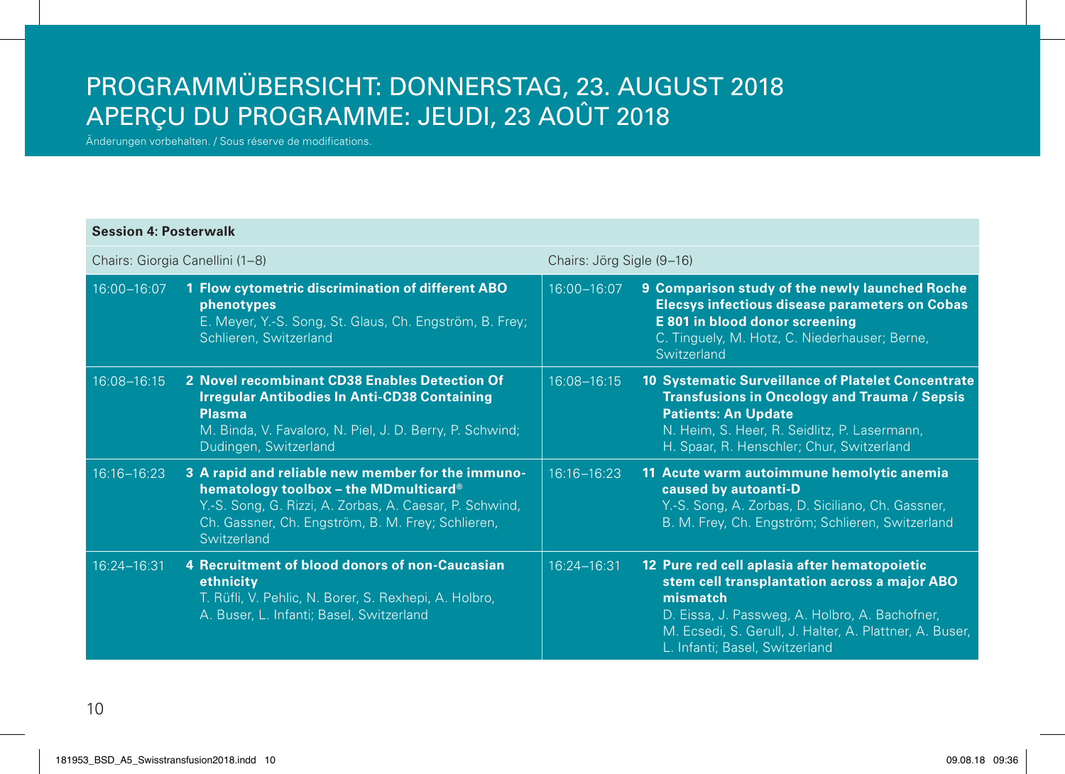## PROGRAMMÜBERSICHT: DONNERSTAG, 23. AUGUST 2018 APERÇU DU PROGRAMME: JEUDI, 23 AOÛT 2018

Änderungen vorbehalten. / Sous réserve de modifications.

## **Session 4: Posterwalk**

| Chairs: Giorgia Canellini (1-8) |                                                                                                                                                                                                                           | Chairs: Jörg Sigle (9–16) |                                                                                                                                                                                                                                                         |
|---------------------------------|---------------------------------------------------------------------------------------------------------------------------------------------------------------------------------------------------------------------------|---------------------------|---------------------------------------------------------------------------------------------------------------------------------------------------------------------------------------------------------------------------------------------------------|
| 16:00-16:07                     | 1 Flow cytometric discrimination of different ABO<br>phenotypes<br>E. Meyer, Y.-S. Song, St. Glaus, Ch. Engström, B. Frey;<br>Schlieren, Switzerland                                                                      | 16:00-16:07               | 9 Comparison study of the newly launched Roche<br><b>Elecsys infectious disease parameters on Cobas</b><br>E 801 in blood donor screening<br>C. Tinguely, M. Hotz, C. Niederhauser; Berne,<br>Switzerland                                               |
| 16:08-16:15                     | 2 Novel recombinant CD38 Enables Detection Of<br><b>Irregular Antibodies In Anti-CD38 Containing</b><br><b>Plasma</b><br>M. Binda, V. Favaloro, N. Piel, J. D. Berry, P. Schwind;<br>Dudingen, Switzerland                | 16:08-16:15               | <b>10 Systematic Surveillance of Platelet Concentrate</b><br><b>Transfusions in Oncology and Trauma / Sepsis</b><br><b>Patients: An Update</b><br>N. Heim, S. Heer, R. Seidlitz, P. Lasermann,<br>H. Spaar, R. Henschler; Chur, Switzerland             |
| 16:16-16:23                     | 3 A rapid and reliable new member for the immuno-<br>hematology toolbox - the MDmulticard®<br>Y.-S. Song, G. Rizzi, A. Zorbas, A. Caesar, P. Schwind,<br>Ch. Gassner, Ch. Engström, B. M. Frey; Schlieren,<br>Switzerland | $16:16 - 16:23$           | 11 Acute warm autoimmune hemolytic anemia<br>caused by autoanti-D<br>Y.-S. Song, A. Zorbas, D. Siciliano, Ch. Gassner,<br>B. M. Frey, Ch. Engström; Schlieren, Switzerland                                                                              |
| 16:24-16:31                     | 4 Recruitment of blood donors of non-Caucasian<br>ethnicity<br>T. Rüfli, V. Pehlic, N. Borer, S. Rexhepi, A. Holbro,<br>A. Buser, L. Infanti; Basel, Switzerland                                                          | 16:24-16:31               | 12 Pure red cell aplasia after hematopoietic<br>stem cell transplantation across a major ABO<br>mismatch<br>D. Eissa, J. Passweg, A. Holbro, A. Bachofner,<br>M. Ecsedi, S. Gerull, J. Halter, A. Plattner, A. Buser,<br>L. Infanti; Basel, Switzerland |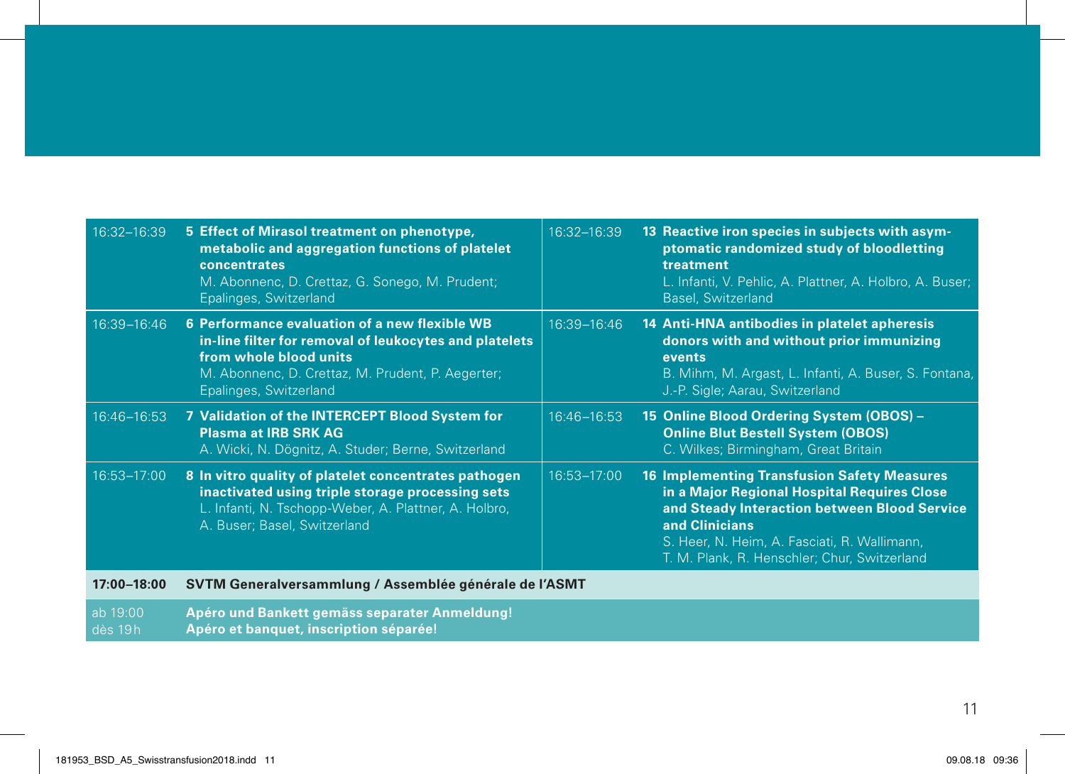| 16:32-16:39 | 5 Effect of Mirasol treatment on phenotype,<br>metabolic and aggregation functions of platelet<br>concentrates<br>M. Abonnenc, D. Crettaz, G. Sonego, M. Prudent;<br>Epalinges, Switzerland                      | 16:32-16:39     | 13 Reactive iron species in subjects with asym-<br>ptomatic randomized study of bloodletting<br>treatment<br>L. Infanti, V. Pehlic, A. Plattner, A. Holbro, A. Buser;<br>Basel, Switzerland                                                                         |
|-------------|------------------------------------------------------------------------------------------------------------------------------------------------------------------------------------------------------------------|-----------------|---------------------------------------------------------------------------------------------------------------------------------------------------------------------------------------------------------------------------------------------------------------------|
| 16:39-16:46 | 6 Performance evaluation of a new flexible WB<br>in-line filter for removal of leukocytes and platelets<br>from whole blood units<br>M. Abonnenc, D. Crettaz, M. Prudent, P. Aegerter;<br>Epalinges, Switzerland | $16:39 - 16:46$ | 14 Anti-HNA antibodies in platelet apheresis<br>donors with and without prior immunizing<br>events<br>B. Mihm, M. Argast, L. Infanti, A. Buser, S. Fontana,<br>J.-P. Sigle; Aarau, Switzerland                                                                      |
| 16:46-16:53 | 7 Validation of the INTERCEPT Blood System for<br><b>Plasma at IRB SRK AG</b><br>A. Wicki, N. Dögnitz, A. Studer; Berne, Switzerland                                                                             | 16:46-16:53     | 15 Online Blood Ordering System (OBOS) -<br><b>Online Blut Bestell System (OBOS)</b><br>C. Wilkes; Birmingham, Great Britain                                                                                                                                        |
| 16:53-17:00 | 8 In vitro quality of platelet concentrates pathogen<br>inactivated using triple storage processing sets<br>L. Infanti, N. Tschopp-Weber, A. Plattner, A. Holbro,<br>A. Buser; Basel, Switzerland                | 16:53-17:00     | <b>16 Implementing Transfusion Safety Measures</b><br>in a Major Regional Hospital Requires Close<br>and Steady Interaction between Blood Service<br>and Clinicians<br>S. Heer, N. Heim, A. Fasciati, R. Wallimann,<br>T. M. Plank, R. Henschler; Chur, Switzerland |
| 17:00-18:00 | SVTM Generalversammlung / Assemblée générale de l'ASMT                                                                                                                                                           |                 |                                                                                                                                                                                                                                                                     |

ab 19:00 dès 19h **Apéro und Bankett gemäss separater Anmeldung! Apéro et banquet, inscription séparée!**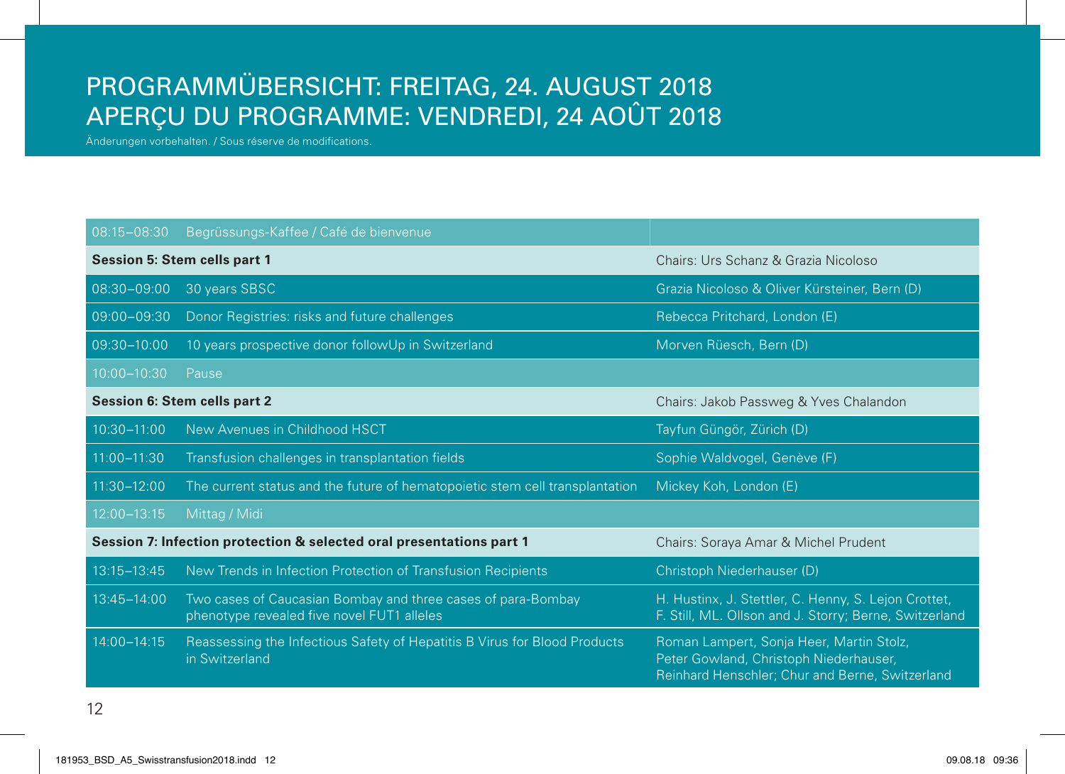## PROGRAMMÜBERSICHT: FREITAG, 24. AUGUST 2018 APERÇU DU PROGRAMME: VENDREDI, 24 AOÛT 2018

Änderungen vorbehalten. / Sous réserve de modifications.

| 08:15-08:30     | Begrüssungs-Kaffee / Café de bienvenue                                                                     |                                                                                                                                       |
|-----------------|------------------------------------------------------------------------------------------------------------|---------------------------------------------------------------------------------------------------------------------------------------|
|                 | <b>Session 5: Stem cells part 1</b>                                                                        | Chairs: Urs Schanz & Grazia Nicoloso                                                                                                  |
| 08:30-09:00     | 30 years SBSC                                                                                              | Grazia Nicoloso & Oliver Kürsteiner, Bern (D)                                                                                         |
| 09:00-09:30     | Donor Registries: risks and future challenges                                                              | Rebecca Pritchard, London (E)                                                                                                         |
| 09:30-10:00     | 10 years prospective donor followUp in Switzerland                                                         | Morven Rüesch, Bern (D)                                                                                                               |
| 10:00-10:30     | Pause                                                                                                      |                                                                                                                                       |
|                 | <b>Session 6: Stem cells part 2</b>                                                                        | Chairs: Jakob Passweg & Yves Chalandon                                                                                                |
| $10:30 - 11:00$ | New Avenues in Childhood HSCT                                                                              | Tayfun Güngör, Zürich (D)                                                                                                             |
| 11:00-11:30     | Transfusion challenges in transplantation fields                                                           | Sophie Waldvogel, Genève (F)                                                                                                          |
| 11:30-12:00     | The current status and the future of hematopoietic stem cell transplantation                               | Mickey Koh, London (E)                                                                                                                |
| 12:00-13:15     | Mittag / Midi                                                                                              |                                                                                                                                       |
|                 | Session 7: Infection protection & selected oral presentations part 1                                       | Chairs: Soraya Amar & Michel Prudent                                                                                                  |
| 13:15-13:45     | New Trends in Infection Protection of Transfusion Recipients                                               | Christoph Niederhauser (D)                                                                                                            |
| 13:45-14:00     | Two cases of Caucasian Bombay and three cases of para-Bombay<br>phenotype revealed five novel FUT1 alleles | H. Hustinx, J. Stettler, C. Henny, S. Lejon Crottet,<br>F. Still, ML. Ollson and J. Storry; Berne, Switzerland                        |
| 14:00-14:15     | Reassessing the Infectious Safety of Hepatitis B Virus for Blood Products<br>in Switzerland                | Roman Lampert, Sonja Heer, Martin Stolz,<br>Peter Gowland, Christoph Niederhauser,<br>Reinhard Henschler; Chur and Berne, Switzerland |